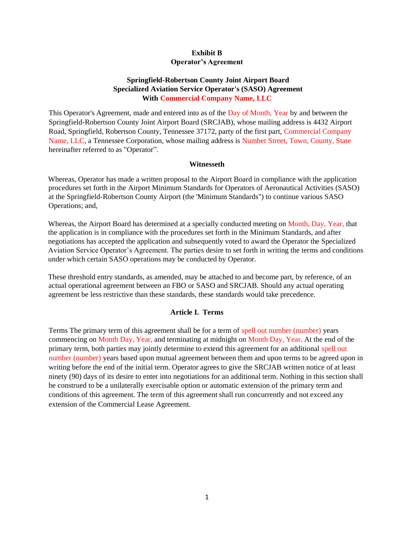## **Exhibit B Operator's Agreement**

# **Springfield-Robertson County Joint Airport Board Specialized Aviation Service Operator's (SASO) Agreement With Commercial Company Name, LLC**

This Operator's Agreement, made and entered into as of the Day of Month, Year by and between the Springfield-Robertson County Joint Airport Board (SRCJAB), whose mailing address is 4432 Airport Road, Springfield, Robertson County, Tennessee 37172, party of the first part, Commercial Company Name, LLC, a Tennessee Corporation, whose mailing address is Number Street, Town, County, State hereinafter referred to as "Operator".

#### **Witnesseth**

Whereas, Operator has made a written proposal to the Airport Board in compliance with the application procedures set forth in the Airpor[t Minimum Standards](https://www.srcairport.com/airport-publications) for Operators of Aeronautical Activities (SASO) at the Springfield-Robertson County Airport (the 'Minimum Standards") to continue various SASO Operations; and,

Whereas, the Airport Board has determined at a specially conducted meeting on Month, Day, Year, that the application is in compliance with the procedures set forth in the Minimum Standards, and after negotiations has accepted the application and subsequently voted to award the Operator the Specialized Aviation Service Operator's Agreement. The parties desire to set forth in writing the terms and conditions under which certain SASO operations may be conducted by Operator.

These threshold entry standards, as amended, may be attached to and become part, by reference, of an actual operational agreement between an FBO or SASO and SRCJAB. Should any actual operating agreement be less restrictive than these standards, these standards would take precedence.

### **Article I. Terms**

Terms The primary term of this agreement shall be for a term of spell out number (number) years commencing on Month Day, Year, and terminating at midnight on Month Day, Year. At the end of the primary term, both parties may jointly determine to extend this agreement for an additional spell out number (number) years based upon mutual agreement between them and upon terms to be agreed upon in writing before the end of the initial term. Operator agrees to give the SRCJAB written notice of at least ninety (90) days of its desire to enter into negotiations for an additional term. Nothing in this section shall be construed to be a unilaterally exercisable option or automatic extension of the primary term and conditions of this agreement. The term of this agreement shall run concurrently and not exceed any extension of the Commercial Lease Agreement.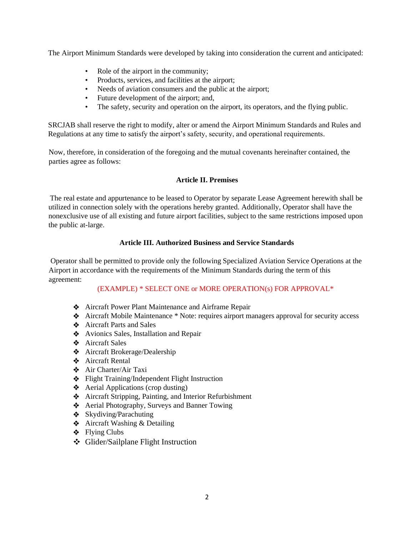The Airport Minimum Standards were developed by taking into consideration the current and anticipated:

- Role of the airport in the community;
- Products, services, and facilities at the airport;
- Needs of aviation consumers and the public at the airport;
- Future development of the airport; and,
- The safety, security and operation on the airport, its operators, and the flying public.

SRCJAB shall reserve the right to modify, alter or amend the Airport Minimum Standards and Rules and Regulations at any time to satisfy the airport's safety, security, and operational requirements.

Now, therefore, in consideration of the foregoing and the mutual covenants hereinafter contained, the parties agree as follows:

## **Article II. Premises**

The real estate and appurtenance to be leased to Operator by separate Lease Agreement herewith shall be utilized in connection solely with the operations hereby granted. Additionally, Operator shall have the nonexclusive use of all existing and future airport facilities, subject to the same restrictions imposed upon the public at-large.

# **Article III. Authorized Business and Service Standards**

Operator shall be permitted to provide only the following Specialized Aviation Service Operations at the Airport in accordance with the requirements of the [Minimum Standards](https://www.srcairport.com/airport-publications) during the term of this agreement:

# (EXAMPLE) \* SELECT ONE or MORE OPERATION(s) FOR APPROVAL\*

- Aircraft Power Plant Maintenance and Airframe Repair
- Aircraft Mobile Maintenance \* Note: requires airport managers approval for security access
- Aircraft Parts and Sales
- ◆ Avionics Sales, Installation and Repair
- Aircraft Sales
- Aircraft Brokerage/Dealership
- Aircraft Rental
- Air Charter/Air Taxi
- Flight Training/Independent Flight Instruction
- $\triangleleft$  Aerial Applications (crop dusting)
- Aircraft Stripping, Painting, and Interior Refurbishment
- Aerial Photography, Surveys and Banner Towing
- $\triangleleft$  Skydiving/Parachuting
- **❖** Aircraft Washing & Detailing
- $\div$  Flying Clubs
- Glider/Sailplane Flight Instruction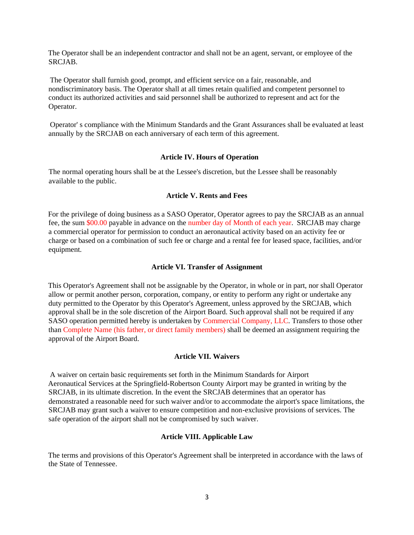The Operator shall be an independent contractor and shall not be an agent, servant, or employee of the SRCJAB.

The Operator shall furnish good, prompt, and efficient service on a fair, reasonable, and nondiscriminatory basis. The Operator shall at all times retain qualified and competent personnel to conduct its authorized activities and said personnel shall be authorized to represent and act for the Operator.

Operator' s compliance with the Minimum Standards and the Grant Assurances shall be evaluated at least annually by the SRCJAB on each anniversary of each term of this agreement.

#### **Article IV. Hours of Operation**

The normal operating hours shall be at the Lessee's discretion, but the Lessee shall be reasonably available to the public.

#### **Article V. Rents and Fees**

For the privilege of doing business as a SASO Operator, Operator agrees to pay the SRCJAB as an annual fee, the sum \$00.00 payable in advance on the number day of Month of each year. SRCJAB may charge a commercial operator for permission to conduct an aeronautical activity based on an activity fee or charge or based on a combination of such fee or charge and a rental fee for leased space, facilities, and/or equipment.

#### **Article VI. Transfer of Assignment**

This Operator's Agreement shall not be assignable by the Operator, in whole or in part, nor shall Operator allow or permit another person, corporation, company, or entity to perform any right or undertake any duty permitted to the Operator by this Operator's Agreement, unless approved by the SRCJAB, which approval shall be in the sole discretion of the Airport Board. Such approval shall not be required if any SASO operation permitted hereby is undertaken by Commercial Company, LLC. Transfers to those other than Complete Name (his father, or direct family members) shall be deemed an assignment requiring the approval of the Airport Board.

### **Article VII. Waivers**

A waiver on certain basic requirements set forth in the Minimum Standards for Airport Aeronautical Services at the Springfield-Robertson County Airport may be granted in writing by the SRCJAB, in its ultimate discretion. In the event the SRCJAB determines that an operator has demonstrated a reasonable need for such waiver and/or to accommodate the airport's space limitations, the SRCJAB may grant such a waiver to ensure competition and non-exclusive provisions of services. The safe operation of the airport shall not be compromised by such waiver.

### **Article VIII. Applicable Law**

The terms and provisions of this Operator's Agreement shall be interpreted in accordance with the laws of the State of Tennessee.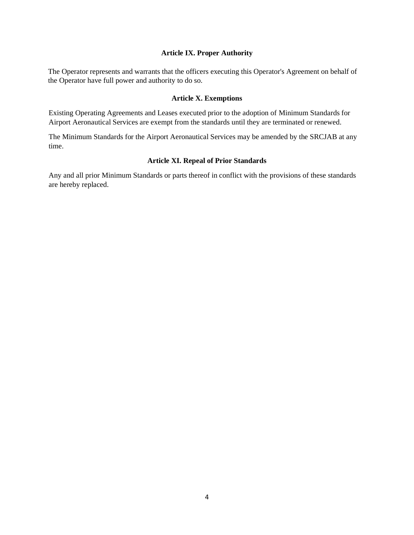### **Article IX. Proper Authority**

The Operator represents and warrants that the officers executing this Operator's Agreement on behalf of the Operator have full power and authority to do so.

### **Article X. Exemptions**

Existing Operating Agreements and Leases executed prior to the adoption of Minimum Standards for Airport Aeronautical Services are exempt from the standards until they are terminated or renewed.

The Minimum Standards for the Airport Aeronautical Services may be amended by the SRCJAB at any time.

### **Article XI. Repeal of Prior Standards**

Any and all prior Minimum Standards or parts thereof in conflict with the provisions of these standards are hereby replaced.